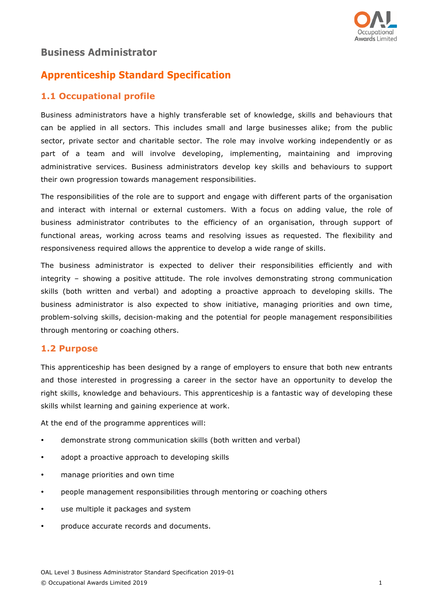

# **Business Administrator**

# **Apprenticeship Standard Specification**

## **1.1 Occupational profile**

Business administrators have a highly transferable set of knowledge, skills and behaviours that can be applied in all sectors. This includes small and large businesses alike; from the public sector, private sector and charitable sector. The role may involve working independently or as part of a team and will involve developing, implementing, maintaining and improving administrative services. Business administrators develop key skills and behaviours to support their own progression towards management responsibilities.

The responsibilities of the role are to support and engage with different parts of the organisation and interact with internal or external customers. With a focus on adding value, the role of business administrator contributes to the efficiency of an organisation, through support of functional areas, working across teams and resolving issues as requested. The flexibility and responsiveness required allows the apprentice to develop a wide range of skills.

The business administrator is expected to deliver their responsibilities efficiently and with integrity – showing a positive attitude. The role involves demonstrating strong communication skills (both written and verbal) and adopting a proactive approach to developing skills. The business administrator is also expected to show initiative, managing priorities and own time, problem-solving skills, decision-making and the potential for people management responsibilities through mentoring or coaching others.

## **1.2 Purpose**

This apprenticeship has been designed by a range of employers to ensure that both new entrants and those interested in progressing a career in the sector have an opportunity to develop the right skills, knowledge and behaviours. This apprenticeship is a fantastic way of developing these skills whilst learning and gaining experience at work.

At the end of the programme apprentices will:

- demonstrate strong communication skills (both written and verbal)
- adopt a proactive approach to developing skills
- manage priorities and own time
- people management responsibilities through mentoring or coaching others
- use multiple it packages and system
- produce accurate records and documents.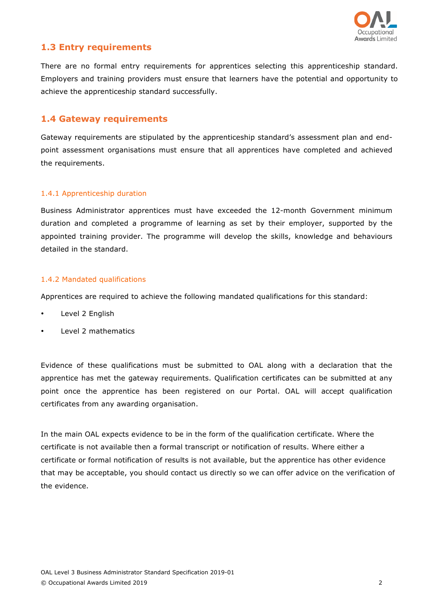

### **1.3 Entry requirements**

There are no formal entry requirements for apprentices selecting this apprenticeship standard. Employers and training providers must ensure that learners have the potential and opportunity to achieve the apprenticeship standard successfully.

### **1.4 Gateway requirements**

Gateway requirements are stipulated by the apprenticeship standard's assessment plan and endpoint assessment organisations must ensure that all apprentices have completed and achieved the requirements.

### 1.4.1 Apprenticeship duration

Business Administrator apprentices must have exceeded the 12-month Government minimum duration and completed a programme of learning as set by their employer, supported by the appointed training provider. The programme will develop the skills, knowledge and behaviours detailed in the standard.

### 1.4.2 Mandated qualifications

Apprentices are required to achieve the following mandated qualifications for this standard:

- Level 2 English
- Level 2 mathematics

Evidence of these qualifications must be submitted to OAL along with a declaration that the apprentice has met the gateway requirements. Qualification certificates can be submitted at any point once the apprentice has been registered on our Portal. OAL will accept qualification certificates from any awarding organisation.

In the main OAL expects evidence to be in the form of the qualification certificate. Where the certificate is not available then a formal transcript or notification of results. Where either a certificate or formal notification of results is not available, but the apprentice has other evidence that may be acceptable, you should contact us directly so we can offer advice on the verification of the evidence.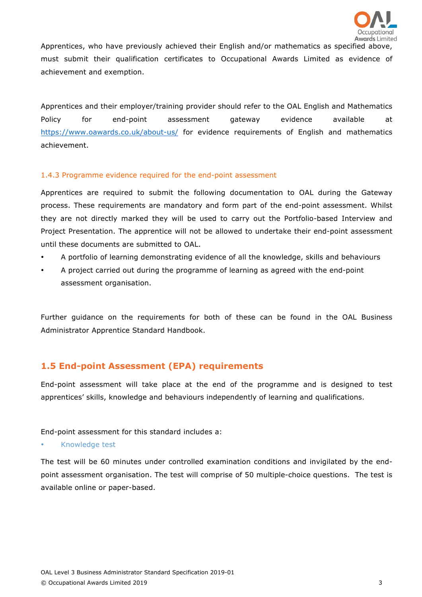

Apprentices, who have previously achieved their English and/or mathematics as specified above, must submit their qualification certificates to Occupational Awards Limited as evidence of achievement and exemption.

Apprentices and their employer/training provider should refer to the OAL English and Mathematics Policy for end-point assessment gateway evidence available at https://www.oawards.co.uk/about-us/ for evidence requirements of English and mathematics achievement.

### 1.4.3 Programme evidence required for the end-point assessment

Apprentices are required to submit the following documentation to OAL during the Gateway process. These requirements are mandatory and form part of the end-point assessment. Whilst they are not directly marked they will be used to carry out the Portfolio-based Interview and Project Presentation. The apprentice will not be allowed to undertake their end-point assessment until these documents are submitted to OAL.

- A portfolio of learning demonstrating evidence of all the knowledge, skills and behaviours
- A project carried out during the programme of learning as agreed with the end-point assessment organisation.

Further guidance on the requirements for both of these can be found in the OAL Business Administrator Apprentice Standard Handbook.

## **1.5 End-point Assessment (EPA) requirements**

End-point assessment will take place at the end of the programme and is designed to test apprentices' skills, knowledge and behaviours independently of learning and qualifications.

End-point assessment for this standard includes a:

• Knowledge test

The test will be 60 minutes under controlled examination conditions and invigilated by the endpoint assessment organisation. The test will comprise of 50 multiple-choice questions. The test is available online or paper-based.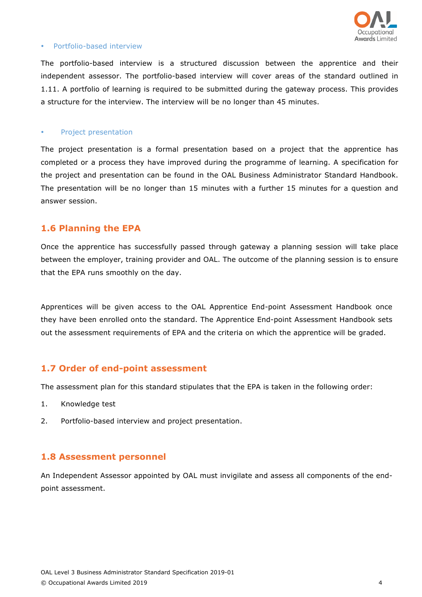

#### • Portfolio-based interview

The portfolio-based interview is a structured discussion between the apprentice and their independent assessor. The portfolio-based interview will cover areas of the standard outlined in 1.11. A portfolio of learning is required to be submitted during the gateway process. This provides a structure for the interview. The interview will be no longer than 45 minutes.

#### • Project presentation

The project presentation is a formal presentation based on a project that the apprentice has completed or a process they have improved during the programme of learning. A specification for the project and presentation can be found in the OAL Business Administrator Standard Handbook. The presentation will be no longer than 15 minutes with a further 15 minutes for a question and answer session.

### **1.6 Planning the EPA**

Once the apprentice has successfully passed through gateway a planning session will take place between the employer, training provider and OAL. The outcome of the planning session is to ensure that the EPA runs smoothly on the day.

Apprentices will be given access to the OAL Apprentice End-point Assessment Handbook once they have been enrolled onto the standard. The Apprentice End-point Assessment Handbook sets out the assessment requirements of EPA and the criteria on which the apprentice will be graded.

### **1.7 Order of end-point assessment**

The assessment plan for this standard stipulates that the EPA is taken in the following order:

- 1. Knowledge test
- 2. Portfolio-based interview and project presentation.

### **1.8 Assessment personnel**

An Independent Assessor appointed by OAL must invigilate and assess all components of the endpoint assessment.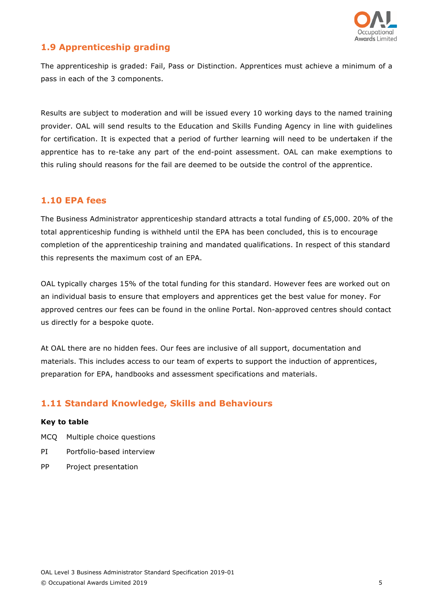

## **1.9 Apprenticeship grading**

The apprenticeship is graded: Fail, Pass or Distinction. Apprentices must achieve a minimum of a pass in each of the 3 components.

Results are subject to moderation and will be issued every 10 working days to the named training provider. OAL will send results to the Education and Skills Funding Agency in line with guidelines for certification. It is expected that a period of further learning will need to be undertaken if the apprentice has to re-take any part of the end-point assessment. OAL can make exemptions to this ruling should reasons for the fail are deemed to be outside the control of the apprentice.

## **1.10 EPA fees**

The Business Administrator apprenticeship standard attracts a total funding of £5,000. 20% of the total apprenticeship funding is withheld until the EPA has been concluded, this is to encourage completion of the apprenticeship training and mandated qualifications. In respect of this standard this represents the maximum cost of an EPA.

OAL typically charges 15% of the total funding for this standard. However fees are worked out on an individual basis to ensure that employers and apprentices get the best value for money. For approved centres our fees can be found in the online Portal. Non-approved centres should contact us directly for a bespoke quote.

At OAL there are no hidden fees. Our fees are inclusive of all support, documentation and materials. This includes access to our team of experts to support the induction of apprentices, preparation for EPA, handbooks and assessment specifications and materials.

## **1.11 Standard Knowledge, Skills and Behaviours**

#### **Key to table**

- MCQ Multiple choice questions
- PI Portfolio-based interview
- PP Project presentation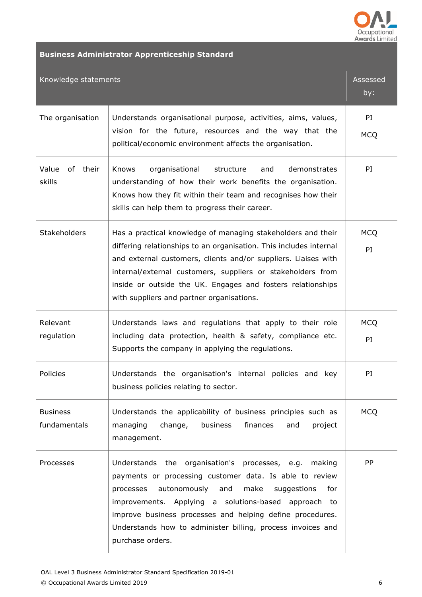

# **Business Administrator Apprenticeship Standard**

| Knowledge statements                                                                                                                                                                                                                                                                                                                                                                    | Assessed<br>by:  |
|-----------------------------------------------------------------------------------------------------------------------------------------------------------------------------------------------------------------------------------------------------------------------------------------------------------------------------------------------------------------------------------------|------------------|
| Understands organisational purpose, activities, aims, values,<br>vision for the future, resources and the way that the<br>political/economic environment affects the organisation.                                                                                                                                                                                                      | PI<br><b>MCQ</b> |
| Knows<br>organisational<br>structure<br>and<br>demonstrates<br>understanding of how their work benefits the organisation.<br>Knows how they fit within their team and recognises how their<br>skills can help them to progress their career.                                                                                                                                            | PI               |
| Has a practical knowledge of managing stakeholders and their<br>differing relationships to an organisation. This includes internal<br>and external customers, clients and/or suppliers. Liaises with<br>internal/external customers, suppliers or stakeholders from<br>inside or outside the UK. Engages and fosters relationships<br>with suppliers and partner organisations.         | <b>MCQ</b><br>PI |
| Understands laws and regulations that apply to their role<br>including data protection, health & safety, compliance etc.<br>Supports the company in applying the regulations.                                                                                                                                                                                                           | <b>MCQ</b><br>PI |
| Understands the organisation's internal policies and key<br>business policies relating to sector.                                                                                                                                                                                                                                                                                       | PI               |
| Understands the applicability of business principles such as<br>change,<br>business<br>finances<br>project<br>managing<br>and<br>management.                                                                                                                                                                                                                                            | <b>MCQ</b>       |
| Understands the organisation's processes, e.g. making<br>payments or processing customer data. Is able to review<br>autonomously and<br>processes<br>make<br>suggestions<br>for<br>improvements. Applying a solutions-based approach to<br>improve business processes and helping define procedures.<br>Understands how to administer billing, process invoices and<br>purchase orders. | <b>PP</b>        |
|                                                                                                                                                                                                                                                                                                                                                                                         |                  |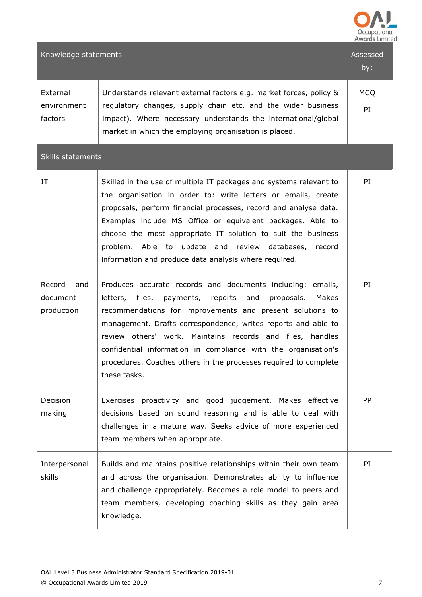

| Knowledge statements                    |                                                                                                                                                                                                                                                                                                                                                                                                                                                                                   | Assessed<br>by:  |  |  |
|-----------------------------------------|-----------------------------------------------------------------------------------------------------------------------------------------------------------------------------------------------------------------------------------------------------------------------------------------------------------------------------------------------------------------------------------------------------------------------------------------------------------------------------------|------------------|--|--|
| External<br>environment<br>factors      | Understands relevant external factors e.g. market forces, policy &<br>regulatory changes, supply chain etc. and the wider business<br>impact). Where necessary understands the international/global<br>market in which the employing organisation is placed.                                                                                                                                                                                                                      | <b>MCQ</b><br>PI |  |  |
| <b>Skills statements</b>                |                                                                                                                                                                                                                                                                                                                                                                                                                                                                                   |                  |  |  |
| IT                                      | Skilled in the use of multiple IT packages and systems relevant to<br>the organisation in order to: write letters or emails, create<br>proposals, perform financial processes, record and analyse data.<br>Examples include MS Office or equivalent packages. Able to<br>choose the most appropriate IT solution to suit the business<br>problem. Able to update and review databases, record<br>information and produce data analysis where required.                            | PI               |  |  |
| Record<br>and<br>document<br>production | Produces accurate records and documents including: emails,<br>letters, files,<br>payments,<br>reports and<br>proposals.<br>Makes<br>recommendations for improvements and present solutions to<br>management. Drafts correspondence, writes reports and able to<br>review others' work. Maintains records and files, handles<br>confidential information in compliance with the organisation's<br>procedures. Coaches others in the processes required to complete<br>these tasks. | PI               |  |  |
| <b>Decision</b><br>making               | Exercises proactivity and good judgement. Makes effective<br>decisions based on sound reasoning and is able to deal with<br>challenges in a mature way. Seeks advice of more experienced<br>team members when appropriate.                                                                                                                                                                                                                                                        | PP               |  |  |
| Interpersonal<br>skills                 | Builds and maintains positive relationships within their own team<br>and across the organisation. Demonstrates ability to influence<br>and challenge appropriately. Becomes a role model to peers and<br>team members, developing coaching skills as they gain area<br>knowledge.                                                                                                                                                                                                 | PI               |  |  |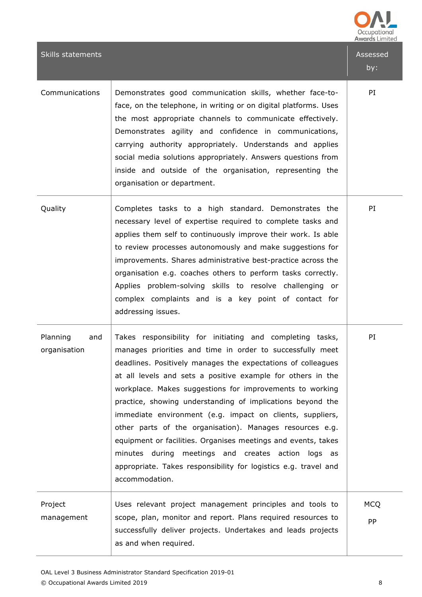|                                 |                                                                                                                                                                                                                                                                                                                                                                                                                                                                                                                                                                                                                                                                                                                            | <b>Awards Limited</b> |
|---------------------------------|----------------------------------------------------------------------------------------------------------------------------------------------------------------------------------------------------------------------------------------------------------------------------------------------------------------------------------------------------------------------------------------------------------------------------------------------------------------------------------------------------------------------------------------------------------------------------------------------------------------------------------------------------------------------------------------------------------------------------|-----------------------|
| <b>Skills statements</b>        |                                                                                                                                                                                                                                                                                                                                                                                                                                                                                                                                                                                                                                                                                                                            | Assessed<br>by:       |
| Communications                  | Demonstrates good communication skills, whether face-to-<br>face, on the telephone, in writing or on digital platforms. Uses<br>the most appropriate channels to communicate effectively.<br>Demonstrates agility and confidence in communications,<br>carrying authority appropriately. Understands and applies<br>social media solutions appropriately. Answers questions from<br>inside and outside of the organisation, representing the<br>organisation or department.                                                                                                                                                                                                                                                | PI                    |
| Quality                         | Completes tasks to a high standard. Demonstrates the<br>necessary level of expertise required to complete tasks and<br>applies them self to continuously improve their work. Is able<br>to review processes autonomously and make suggestions for<br>improvements. Shares administrative best-practice across the<br>organisation e.g. coaches others to perform tasks correctly.<br>Applies problem-solving skills to resolve challenging or<br>complex complaints and is a key point of contact for<br>addressing issues.                                                                                                                                                                                                | PI                    |
| Planning<br>and<br>organisation | Takes responsibility for initiating and completing tasks,<br>manages priorities and time in order to successfully meet<br>deadlines. Positively manages the expectations of colleagues<br>at all levels and sets a positive example for others in the<br>workplace. Makes suggestions for improvements to working<br>practice, showing understanding of implications beyond the<br>immediate environment (e.g. impact on clients, suppliers,<br>other parts of the organisation). Manages resources e.g.<br>equipment or facilities. Organises meetings and events, takes<br>minutes during<br>meetings and creates action<br>logs as<br>appropriate. Takes responsibility for logistics e.g. travel and<br>accommodation. | PI                    |
| Project<br>management           | Uses relevant project management principles and tools to<br>scope, plan, monitor and report. Plans required resources to<br>successfully deliver projects. Undertakes and leads projects<br>as and when required.                                                                                                                                                                                                                                                                                                                                                                                                                                                                                                          | <b>MCQ</b><br>PP      |